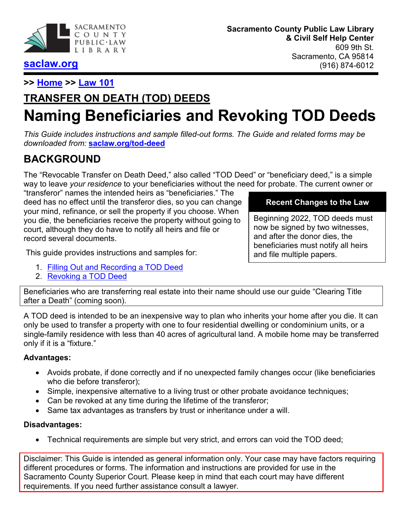

## **[saclaw.org](https://saclaw.org/)**

**>> [Home](https://saclaw.org/) >> [Law 101](https://saclaw.org/law-101/)**

# **TRANSFER ON DEATH (TOD) DEEDS Naming Beneficiaries and Revoking TOD Deeds**

*This Guide includes instructions and sample filled-out forms. The Guide and related forms may be downloaded from:* **[saclaw.org/tod-deed](https://saclaw.org/tod-deed)**

## **BACKGROUND**

The "Revocable Transfer on Death Deed," also called "TOD Deed" or "beneficiary deed," is a simple way to leave *your residence* to your beneficiaries without the need for probate. The current owner or

"transferor" names the intended heirs as "beneficiaries." The deed has no effect until the transferor dies, so you can change your mind, refinance, or sell the property if you choose. When you die, the beneficiaries receive the property without going to court, although they do have to notify all heirs and file or record several documents.

This guide provides instructions and samples for:

- 1. [Filling Out and Recording a TOD Deed](#page-1-0)
- 2. [Revoking a TOD Deed](#page-2-0)

#### **Recent Changes to the Law**

Beginning 2022, TOD deeds must now be signed by two witnesses, and after the donor dies, the beneficiaries must notify all heirs and file multiple papers.

Beneficiaries who are transferring real estate into their name should use our guide "Clearing Title after a Death" (coming soon).

A TOD deed is intended to be an inexpensive way to plan who inherits your home after you die. It can only be used to transfer a property with one to four residential dwelling or condominium units, or a single-family residence with less than 40 acres of agricultural land. A mobile home may be transferred only if it is a "fixture."

#### **Advantages:**

- Avoids probate, if done correctly and if no unexpected family changes occur (like beneficiaries who die before transferor);
- Simple, inexpensive alternative to a living trust or other probate avoidance techniques;
- Can be revoked at any time during the lifetime of the transferor;
- Same tax advantages as transfers by trust or inheritance under a will.

#### **Disadvantages:**

• Technical requirements are simple but very strict, and errors can void the TOD deed;

Disclaimer: This Guide is intended as general information only. Your case may have factors requiring different procedures or forms. The information and instructions are provided for use in the Sacramento County Superior Court. Please keep in mind that each court may have different requirements. If you need further assistance consult a lawyer.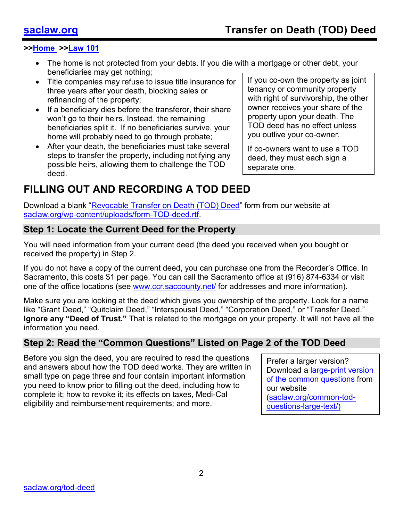- The home is not protected from your debts. If you die with a mortgage or other debt, your beneficiaries may get nothing;
- Title companies may refuse to issue title insurance for three years after your death, blocking sales or refinancing of the property;
- If a beneficiary dies before the transferor, their share won't go to their heirs. Instead, the remaining beneficiaries split it. If no beneficiaries survive, your home will probably need to go through probate;
- After your death, the beneficiaries must take several steps to transfer the property, including notifying any possible heirs, allowing them to challenge the TOD deed.

If you co-own the property as joint tenancy or community property with right of survivorship, the other owner receives your share of the property upon your death. The TOD deed has no effect unless you outlive your co-owner.

If co-owners want to use a TOD deed, they must each sign a separate one.

## <span id="page-1-0"></span>**FILLING OUT AND RECORDING A TOD DEED**

Download a blank ["Revocable Transfer on Death \(TOD\) Deed"](https://saclaw.org/wp-content/uploads/form-TOD-deed.rtf) form from our website at [saclaw.org/wp-content/uploads/form-TOD-deed.rtf.](https://saclaw.org/wp-content/uploads/form-TOD-deed.rtf)

#### **Step 1: Locate the Current Deed for the Property**

You will need information from your current deed (the deed you received when you bought or received the property) in Step 2.

If you do not have a copy of the current deed, you can purchase one from the Recorder's Office. In Sacramento, this costs \$1 per page. You can call the Sacramento office at (916) 874-6334 or visit one of the office locations (see [www.ccr.saccounty.net/](http://www.ccr.saccounty.net/) for addresses and more information).

Make sure you are looking at the deed which gives you ownership of the property. Look for a name like "Grant Deed," "Quitclaim Deed," "Interspousal Deed," "Corporation Deed," or "Transfer Deed." **Ignore any "Deed of Trust."** That is related to the mortgage on your property. It will not have all the information you need.

### **Step 2: Read the "Common Questions" Listed on Page 2 of the TOD Deed**

Before you sign the deed, you are required to read the questions and answers about how the TOD deed works. They are written in small type on page three and four contain important information you need to know prior to filling out the deed, including how to complete it; how to revoke it; its effects on taxes, Medi-Cal eligibility and reimbursement requirements; and more.

Prefer a larger version? Download a [large-print version](https://saclaw.org/wp-content/uploads/common-TOD-questions-large-text.rtf) [of the common questions](https://saclaw.org/wp-content/uploads/common-TOD-questions-large-text.rtf) from our website [\(saclaw.org/common-tod](http://www.saclaw.org/common-tod-questions-large-text/)[questions-large-text/\)](http://www.saclaw.org/common-tod-questions-large-text/)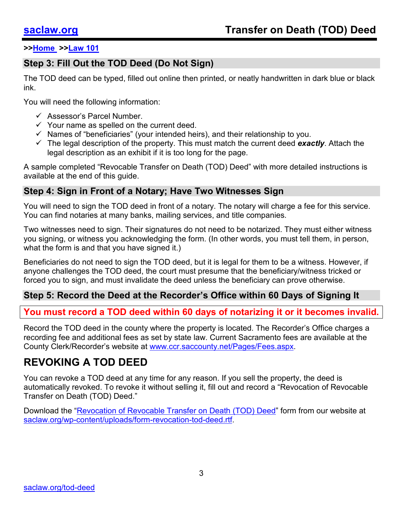## **Step 3: Fill Out the TOD Deed (Do Not Sign)**

The TOD deed can be typed, filled out online then printed, or neatly handwritten in dark blue or black ink.

You will need the following information:

- Assessor's Parcel Number.
- $\checkmark$  Your name as spelled on the current deed.
- $\checkmark$  Names of "beneficiaries" (your intended heirs), and their relationship to you.
- The legal description of the property. This must match the current deed *exactly*. Attach the legal description as an exhibit if it is too long for the page.

A sample completed "Revocable Transfer on Death (TOD) Deed" with more detailed instructions is available at the end of this guide.

### **Step 4: Sign in Front of a Notary; Have Two Witnesses Sign**

You will need to sign the TOD deed in front of a notary. The notary will charge a fee for this service. You can find notaries at many banks, mailing services, and title companies.

Two witnesses need to sign. Their signatures do not need to be notarized. They must either witness you signing, or witness you acknowledging the form. (In other words, you must tell them, in person, what the form is and that you have signed it.)

Beneficiaries do not need to sign the TOD deed, but it is legal for them to be a witness. However, if anyone challenges the TOD deed, the court must presume that the beneficiary/witness tricked or forced you to sign, and must invalidate the deed unless the beneficiary can prove otherwise.

## **Step 5: Record the Deed at the Recorder's Office within 60 Days of Signing It**

### **You must record a TOD deed within 60 days of notarizing it or it becomes invalid.**

Record the TOD deed in the county where the property is located. The Recorder's Office charges a recording fee and additional fees as set by state law. Current Sacramento fees are available at the County Clerk/Recorder's website at [www.ccr.saccounty.net/Pages/Fees.aspx.](http://www.ccr.saccounty.net/Pages/Fees.aspx)

## <span id="page-2-0"></span>**REVOKING A TOD DEED**

You can revoke a TOD deed at any time for any reason. If you sell the property, the deed is automatically revoked. To revoke it without selling it, fill out and record a "Revocation of Revocable Transfer on Death (TOD) Deed."

Download the ["Revocation of Revocable Transfer on Death \(TOD\) Deed"](https://saclaw.org/wp-content/uploads/form-revocation-tod-deed.rtf) form from our website at [saclaw.org/wp-content/uploads/form-revocation-tod-deed.rtf.](https://saclaw.org/wp-content/uploads/form-revocation-tod-deed.rtf)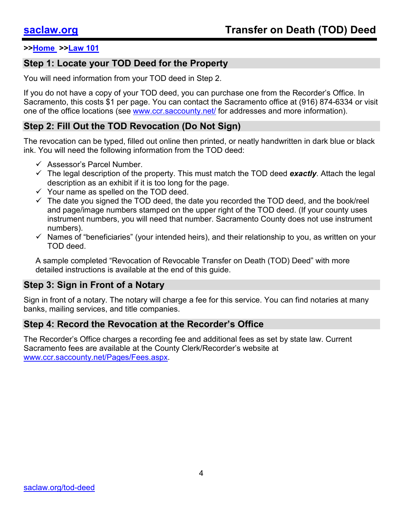#### **Step 1: Locate your TOD Deed for the Property**

You will need information from your TOD deed in Step 2.

If you do not have a copy of your TOD deed, you can purchase one from the Recorder's Office. In Sacramento, this costs \$1 per page. You can contact the Sacramento office at (916) 874-6334 or visit one of the office locations (see [www.ccr.saccounty.net/](http://www.ccr.saccounty.net/) for addresses and more information).

#### **Step 2: Fill Out the TOD Revocation (Do Not Sign)**

The revocation can be typed, filled out online then printed, or neatly handwritten in dark blue or black ink. You will need the following information from the TOD deed:

- $\checkmark$  Assessor's Parcel Number.
- $\checkmark$  The legal description of the property. This must match the TOD deed **exactly**. Attach the legal description as an exhibit if it is too long for the page.
- $\checkmark$  Your name as spelled on the TOD deed.
- $\checkmark$  The date you signed the TOD deed, the date you recorded the TOD deed, and the book/reel and page/image numbers stamped on the upper right of the TOD deed. (If your county uses instrument numbers, you will need that number. Sacramento County does not use instrument numbers).
- $\checkmark$  Names of "beneficiaries" (your intended heirs), and their relationship to you, as written on your TOD deed.

A sample completed "Revocation of Revocable Transfer on Death (TOD) Deed" with more detailed instructions is available at the end of this guide.

### **Step 3: Sign in Front of a Notary**

Sign in front of a notary. The notary will charge a fee for this service. You can find notaries at many banks, mailing services, and title companies.

#### **Step 4: Record the Revocation at the Recorder's Office**

The Recorder's Office charges a recording fee and additional fees as set by state law. Current Sacramento fees are available at the County Clerk/Recorder's website at [www.ccr.saccounty.net/Pages/Fees.aspx.](http://www.ccr.saccounty.net/Pages/Fees.aspx)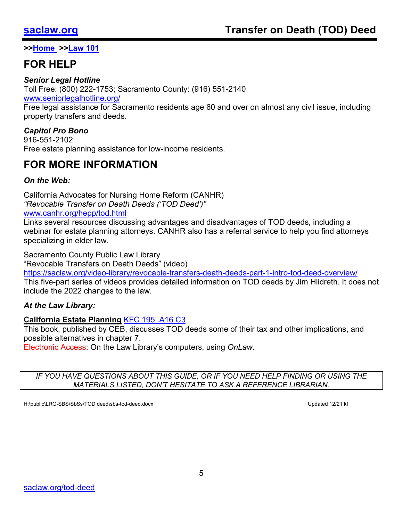## **FOR HELP**

#### *Senior Legal Hotline*

Toll Free: (800) 222-1753; Sacramento County: (916) 551-2140

[www.seniorlegalhotline.org/](http://www.seniorlegalhotline.org/)

Free legal assistance for Sacramento residents age 60 and over on almost any civil issue, including property transfers and deeds.

#### *Capitol Pro Bono*

916-551-2102 Free estate planning assistance for low-income residents.

## **FOR MORE INFORMATION**

#### *On the Web:*

California Advocates for Nursing Home Reform (CANHR) *"Revocable Transfer on Death Deeds ('TOD Deed')"*

#### [www.canhr.org/hepp/tod.html](http://www.canhr.org/hepp/tod.html)

Links several resources discussing advantages and disadvantages of TOD deeds, including a webinar for estate planning attorneys. CANHR also has a referral service to help you find attorneys specializing in elder law.

Sacramento County Public Law Library

"Revocable Transfers on Death Deeds" (video)

<https://saclaw.org/video-library/revocable-transfers-death-deeds-part-1-intro-tod-deed-overview/> This five-part series of videos provides detailed information on TOD deeds by Jim Hlidreth. It does not include the 2022 changes to the law.

#### *At the Law Library:*

#### **California Estate Planning** [KFC 195 .A16 C3](http://bit.ly/2xbv5Jx)

This book, published by CEB, discusses TOD deeds some of their tax and other implications, and possible alternatives in chapter 7.

Electronic Access: On the Law Library's computers, using *OnLaw*.

*IF YOU HAVE QUESTIONS ABOUT THIS GUIDE, OR IF YOU NEED HELP FINDING OR USING THE MATERIALS LISTED, DON'T HESITATE TO ASK A REFERENCE LIBRARIAN.*

H:\public\LRG-SBS\SbSs\TOD deed\sbs-tod-deed.docx Updated 12/21 kf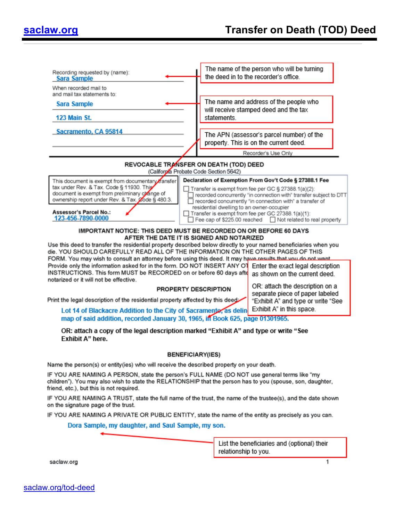| Recording requested by (name):<br><b>Sara Sample</b>                                                                                                                                                                                                  |  |                                           | The name of the person who will be turning<br>the deed in to the recorder's office.                                                                                                                                                             |  |
|-------------------------------------------------------------------------------------------------------------------------------------------------------------------------------------------------------------------------------------------------------|--|-------------------------------------------|-------------------------------------------------------------------------------------------------------------------------------------------------------------------------------------------------------------------------------------------------|--|
| When recorded mail to<br>and mail tax statements to:                                                                                                                                                                                                  |  |                                           |                                                                                                                                                                                                                                                 |  |
| Sara Sample                                                                                                                                                                                                                                           |  |                                           | The name and address of the people who                                                                                                                                                                                                          |  |
| <b>123 Main St.</b>                                                                                                                                                                                                                                   |  | statements.                               | will receive stamped deed and the tax                                                                                                                                                                                                           |  |
| Sacramento, CA 95814                                                                                                                                                                                                                                  |  |                                           | The APN (assessor's parcel number) of the<br>property. This is on the current deed.                                                                                                                                                             |  |
|                                                                                                                                                                                                                                                       |  |                                           | Recorder's Use Only                                                                                                                                                                                                                             |  |
| REVOCABLE TRANSFER ON DEATH (TOD) DEED                                                                                                                                                                                                                |  |                                           |                                                                                                                                                                                                                                                 |  |
|                                                                                                                                                                                                                                                       |  | (California Probate Code Section 5642)    |                                                                                                                                                                                                                                                 |  |
| This document is exempt from documentary transfer<br>tax under Rev. & Tax. Code § 11930. This<br>document is exempt from preliminary change of<br>ownership report under Rev. & Tax. Code § 480.3.                                                    |  | residential dwelling to an owner-occupier | Declaration of Exemption From Gov't Code § 27388.1 Fee<br>Transfer is exempt from fee per GC § 27388.1(a)(2):<br>recorded concurrently "in connection with" transfer subject to DTT<br>recorded concurrently "in connection with" a transfer of |  |
| <b>Assessor's Parcel No.:</b><br>123-456-7890-0000                                                                                                                                                                                                    |  |                                           | Transfer is exempt from fee per GC 27388.1(a)(1):<br>Fee cap of \$225.00 reached Not related to real property                                                                                                                                   |  |
| IMPORTANT NOTICE: THIS DEED MUST BE RECORDED ON OR BEFORE 60 DAYS                                                                                                                                                                                     |  |                                           |                                                                                                                                                                                                                                                 |  |
| AFTER THE DATE IT IS SIGNED AND NOTARIZED<br>Use this deed to transfer the residential property described below directly to your named beneficiaries when you                                                                                         |  |                                           |                                                                                                                                                                                                                                                 |  |
| die. YOU SHOULD CAREFULLY READ ALL OF THE INFORMATION ON THE OTHER PAGES OF THIS                                                                                                                                                                      |  |                                           |                                                                                                                                                                                                                                                 |  |
| FORM. You may wish to consult an attorney before using this deed. It may have results that you do not want.<br>Provide only the information asked for in the form. DO NOT INSERT ANY OT                                                               |  |                                           | Enter the exact legal description                                                                                                                                                                                                               |  |
| INSTRUCTIONS. This form MUST be RECORDED on or before 60 days afte                                                                                                                                                                                    |  |                                           | as shown on the current deed.                                                                                                                                                                                                                   |  |
| notarized or it will not be effective.                                                                                                                                                                                                                |  |                                           |                                                                                                                                                                                                                                                 |  |
| PROPERTY DESCRIPTION                                                                                                                                                                                                                                  |  |                                           | OR: attach the description on a<br>separate piece of paper labeled                                                                                                                                                                              |  |
| Print the legal description of the residential property affected by this deed                                                                                                                                                                         |  |                                           | "Exhibit A" and type or write "See                                                                                                                                                                                                              |  |
| Lot 14 of Blackacre Addition to the City of Sacramente, as delin                                                                                                                                                                                      |  |                                           | Exhibit A" in this space.                                                                                                                                                                                                                       |  |
| map of said addition, recorded January 30, 1965, in Book 625, page 01301965.                                                                                                                                                                          |  |                                           |                                                                                                                                                                                                                                                 |  |
| OR: attach a copy of the legal description marked "Exhibit A" and type or write "See<br><b>Exhibit A" here.</b>                                                                                                                                       |  |                                           |                                                                                                                                                                                                                                                 |  |
|                                                                                                                                                                                                                                                       |  | <b>BENEFICIARY(IES)</b>                   |                                                                                                                                                                                                                                                 |  |
| Name the person(s) or entity(ies) who will receive the described property on your death.                                                                                                                                                              |  |                                           |                                                                                                                                                                                                                                                 |  |
| IF YOU ARE NAMING A PERSON, state the person's FULL NAME (DO NOT use general terms like "my<br>children"). You may also wish to state the RELATIONSHIP that the person has to you (spouse, son, daughter,<br>friend, etc.), but this is not required. |  |                                           |                                                                                                                                                                                                                                                 |  |
| IF YOU ARE NAMING A TRUST, state the full name of the trust, the name of the trustee(s), and the date shown<br>on the signature page of the trust.                                                                                                    |  |                                           |                                                                                                                                                                                                                                                 |  |
| IF YOU ARE NAMING A PRIVATE OR PUBLIC ENTITY, state the name of the entity as precisely as you can.                                                                                                                                                   |  |                                           |                                                                                                                                                                                                                                                 |  |
| Dora Sample, my daughter, and Saul Sample, my son.                                                                                                                                                                                                    |  |                                           |                                                                                                                                                                                                                                                 |  |
|                                                                                                                                                                                                                                                       |  |                                           |                                                                                                                                                                                                                                                 |  |

List the beneficiaries and (optional) their relationship to you.

1

saclaw.org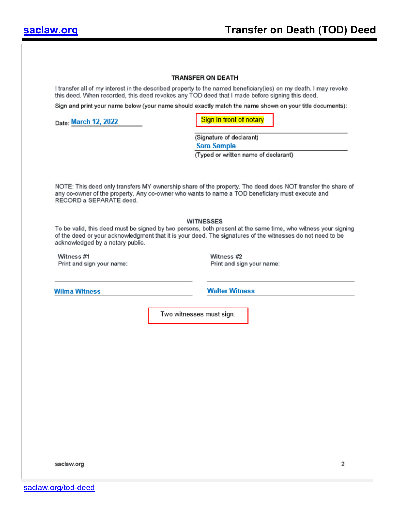#### **TRANSFER ON DEATH**

I transfer all of my interest in the described property to the named beneficiary(ies) on my death. I may revoke this deed. When recorded, this deed revokes any TOD deed that I made before signing this deed.

Sign and print your name below (your name should exactly match the name shown on your title documents):

Date: March 12, 2022

Sign in front of notary

(Signature of declarant)

**Sara Sample** 

(Typed or written name of declarant)

NOTE: This deed only transfers MY ownership share of the property. The deed does NOT transfer the share of any co-owner of the property. Any co-owner who wants to name a TOD beneficiary must execute and RECORD a SEPARATE deed.

#### **WITNESSES**

To be valid, this deed must be signed by two persons, both present at the same time, who witness your signing of the deed or your acknowledgment that it is your deed. The signatures of the witnesses do not need to be acknowledged by a notary public.

Witness #1 Print and sign your name: Witness #2 Print and sign your name:

**Wilma Witness** 

**Walter Witness** 

Two witnesses must sign.

saclaw.org